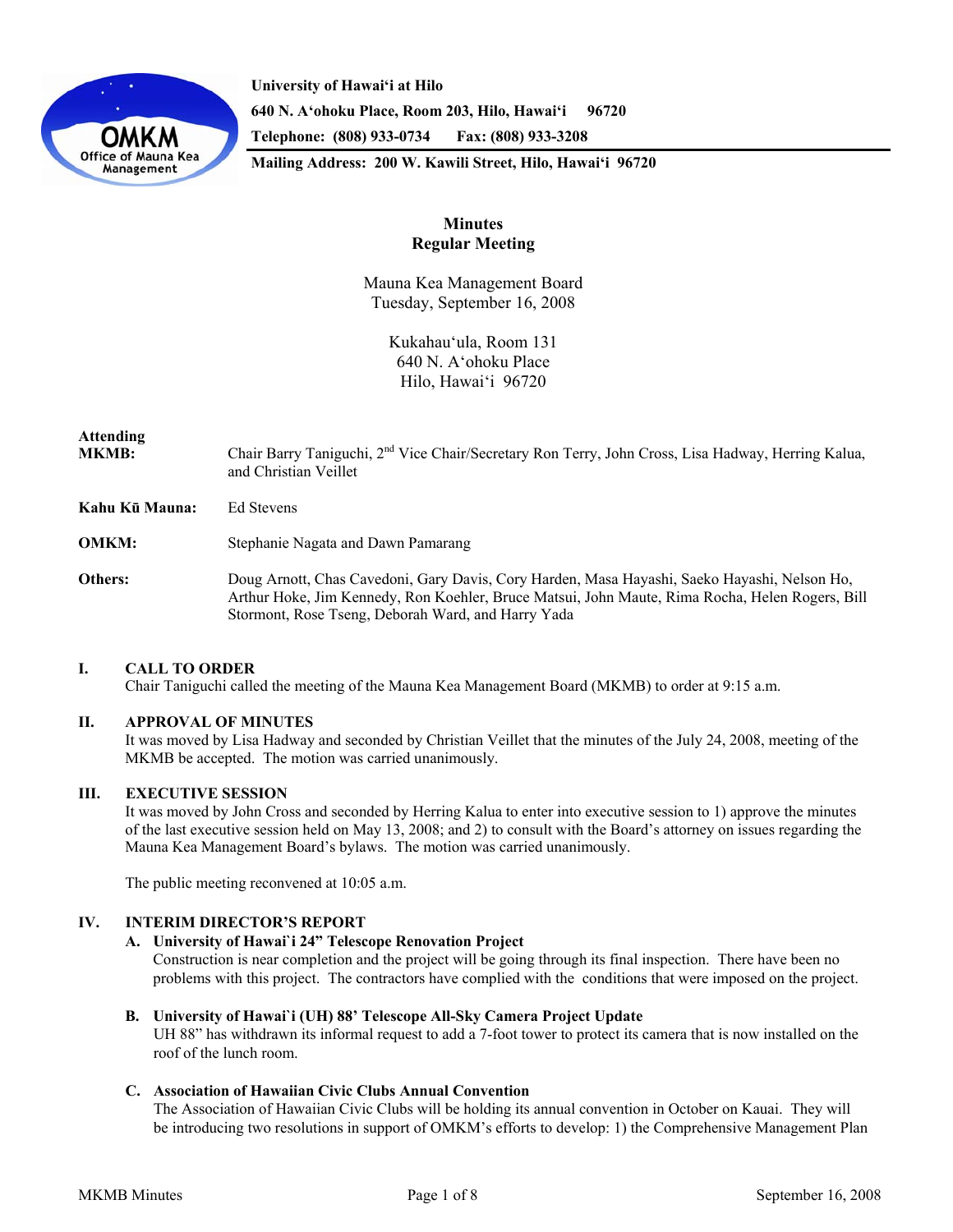

**University of Hawai'i at Hilo 640 N. A'ohoku Place, Room 203, Hilo, Hawai'i 96720 Telephone: (808) 933-0734 Fax: (808) 933-3208 Mailing Address: 200 W. Kawili Street, Hilo, Hawai'i 96720** 

## **Minutes Regular Meeting**

Mauna Kea Management Board Tuesday, September 16, 2008

> Kukahau'ula, Room 131 640 N. A'ohoku Place Hilo, Hawai'i 96720

# **Attending**

MKMB: Chair Barry Taniguchi, 2<sup>nd</sup> Vice Chair/Secretary Ron Terry, John Cross, Lisa Hadway, Herring Kalua, and Christian Veillet

**Kahu Kū Mauna:** Ed Stevens

**OMKM:** Stephanie Nagata and Dawn Pamarang

**Others:** Doug Arnott, Chas Cavedoni, Gary Davis, Cory Harden, Masa Hayashi, Saeko Hayashi, Nelson Ho, Arthur Hoke, Jim Kennedy, Ron Koehler, Bruce Matsui, John Maute, Rima Rocha, Helen Rogers, Bill Stormont, Rose Tseng, Deborah Ward, and Harry Yada

## **I. CALL TO ORDER**

Chair Taniguchi called the meeting of the Mauna Kea Management Board (MKMB) to order at 9:15 a.m.

## **II. APPROVAL OF MINUTES**

It was moved by Lisa Hadway and seconded by Christian Veillet that the minutes of the July 24, 2008, meeting of the MKMB be accepted. The motion was carried unanimously.

## **III. EXECUTIVE SESSION**

It was moved by John Cross and seconded by Herring Kalua to enter into executive session to 1) approve the minutes of the last executive session held on May 13, 2008; and 2) to consult with the Board's attorney on issues regarding the Mauna Kea Management Board's bylaws. The motion was carried unanimously.

The public meeting reconvened at 10:05 a.m.

## **IV. INTERIM DIRECTOR'S REPORT**

## **A. University of Hawai`i 24" Telescope Renovation Project**

 Construction is near completion and the project will be going through its final inspection. There have been no problems with this project. The contractors have complied with the conditions that were imposed on the project.

## **B. University of Hawai`i (UH) 88' Telescope All-Sky Camera Project Update**

UH 88" has withdrawn its informal request to add a 7-foot tower to protect its camera that is now installed on the roof of the lunch room.

## **C. Association of Hawaiian Civic Clubs Annual Convention**

The Association of Hawaiian Civic Clubs will be holding its annual convention in October on Kauai. They will be introducing two resolutions in support of OMKM's efforts to develop: 1) the Comprehensive Management Plan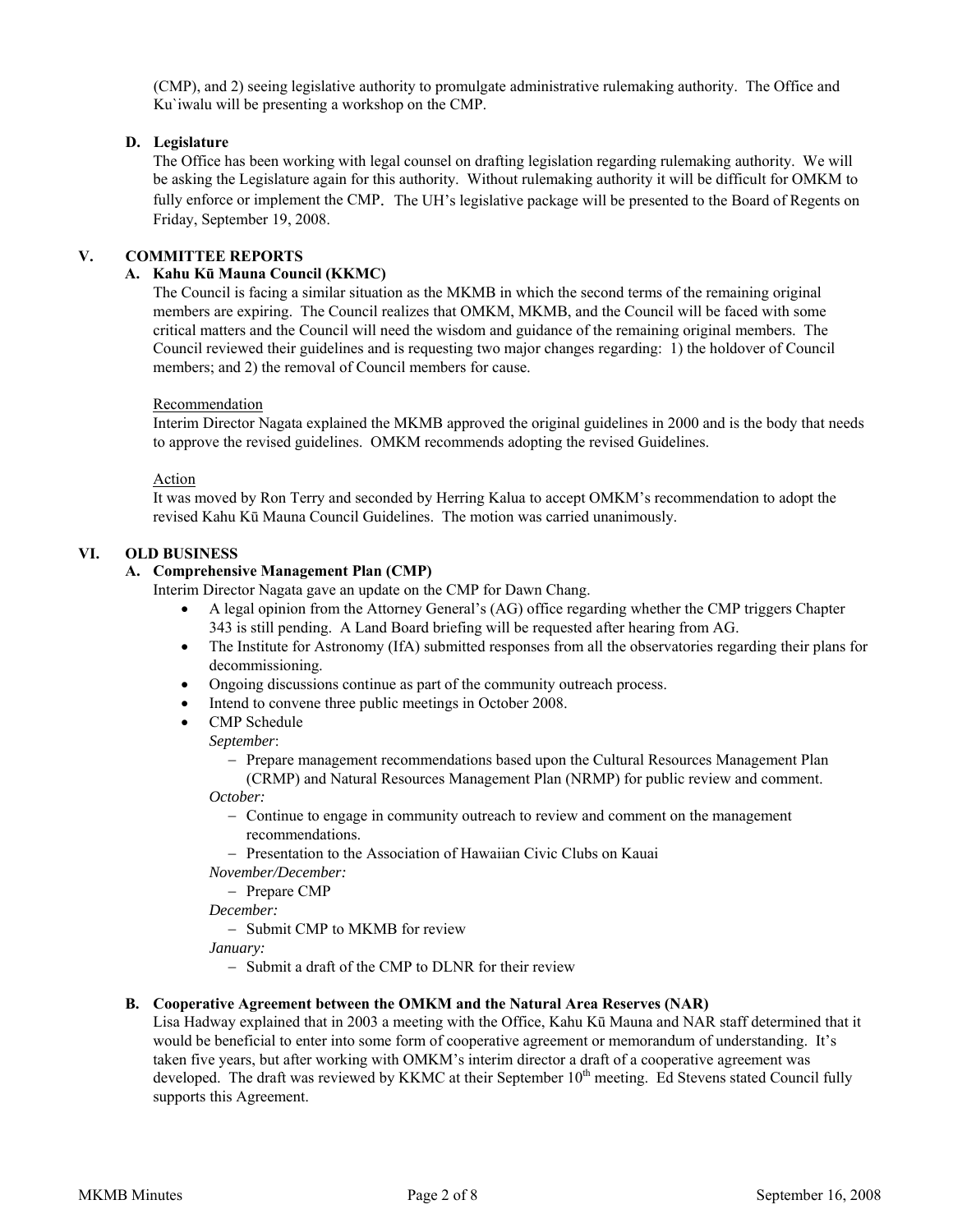(CMP), and 2) seeing legislative authority to promulgate administrative rulemaking authority. The Office and Ku`iwalu will be presenting a workshop on the CMP.

## **D. Legislature**

The Office has been working with legal counsel on drafting legislation regarding rulemaking authority. We will be asking the Legislature again for this authority. Without rulemaking authority it will be difficult for OMKM to fully enforce or implement the CMP. The UH's legislative package will be presented to the Board of Regents on Friday, September 19, 2008.

## **V. COMMITTEE REPORTS**

## **A. Kahu Kū Mauna Council (KKMC)**

The Council is facing a similar situation as the MKMB in which the second terms of the remaining original members are expiring. The Council realizes that OMKM, MKMB, and the Council will be faced with some critical matters and the Council will need the wisdom and guidance of the remaining original members. The Council reviewed their guidelines and is requesting two major changes regarding: 1) the holdover of Council members; and 2) the removal of Council members for cause.

#### Recommendation

Interim Director Nagata explained the MKMB approved the original guidelines in 2000 and is the body that needs to approve the revised guidelines. OMKM recommends adopting the revised Guidelines.

#### Action

It was moved by Ron Terry and seconded by Herring Kalua to accept OMKM's recommendation to adopt the revised Kahu Kū Mauna Council Guidelines. The motion was carried unanimously.

## **VI. OLD BUSINESS**

## **A. Comprehensive Management Plan (CMP)**

Interim Director Nagata gave an update on the CMP for Dawn Chang.

- A legal opinion from the Attorney General's (AG) office regarding whether the CMP triggers Chapter 343 is still pending. A Land Board briefing will be requested after hearing from AG.
- The Institute for Astronomy (IfA) submitted responses from all the observatories regarding their plans for decommissioning.
- Ongoing discussions continue as part of the community outreach process.
- Intend to convene three public meetings in October 2008.
- CMP Schedule

#### *September*:

- Prepare management recommendations based upon the Cultural Resources Management Plan (CRMP) and Natural Resources Management Plan (NRMP) for public review and comment.

*October:*

- Continue to engage in community outreach to review and comment on the management recommendations.
- Presentation to the Association of Hawaiian Civic Clubs on Kauai

*November/December:*

- Prepare CMP

*December:*

- Submit CMP to MKMB for review

*January:*

- Submit a draft of the CMP to DLNR for their review

## **B. Cooperative Agreement between the OMKM and the Natural Area Reserves (NAR)**

Lisa Hadway explained that in 2003 a meeting with the Office, Kahu Kū Mauna and NAR staff determined that it would be beneficial to enter into some form of cooperative agreement or memorandum of understanding. It's taken five years, but after working with OMKM's interim director a draft of a cooperative agreement was developed. The draft was reviewed by KKMC at their September 10<sup>th</sup> meeting. Ed Stevens stated Council fully supports this Agreement.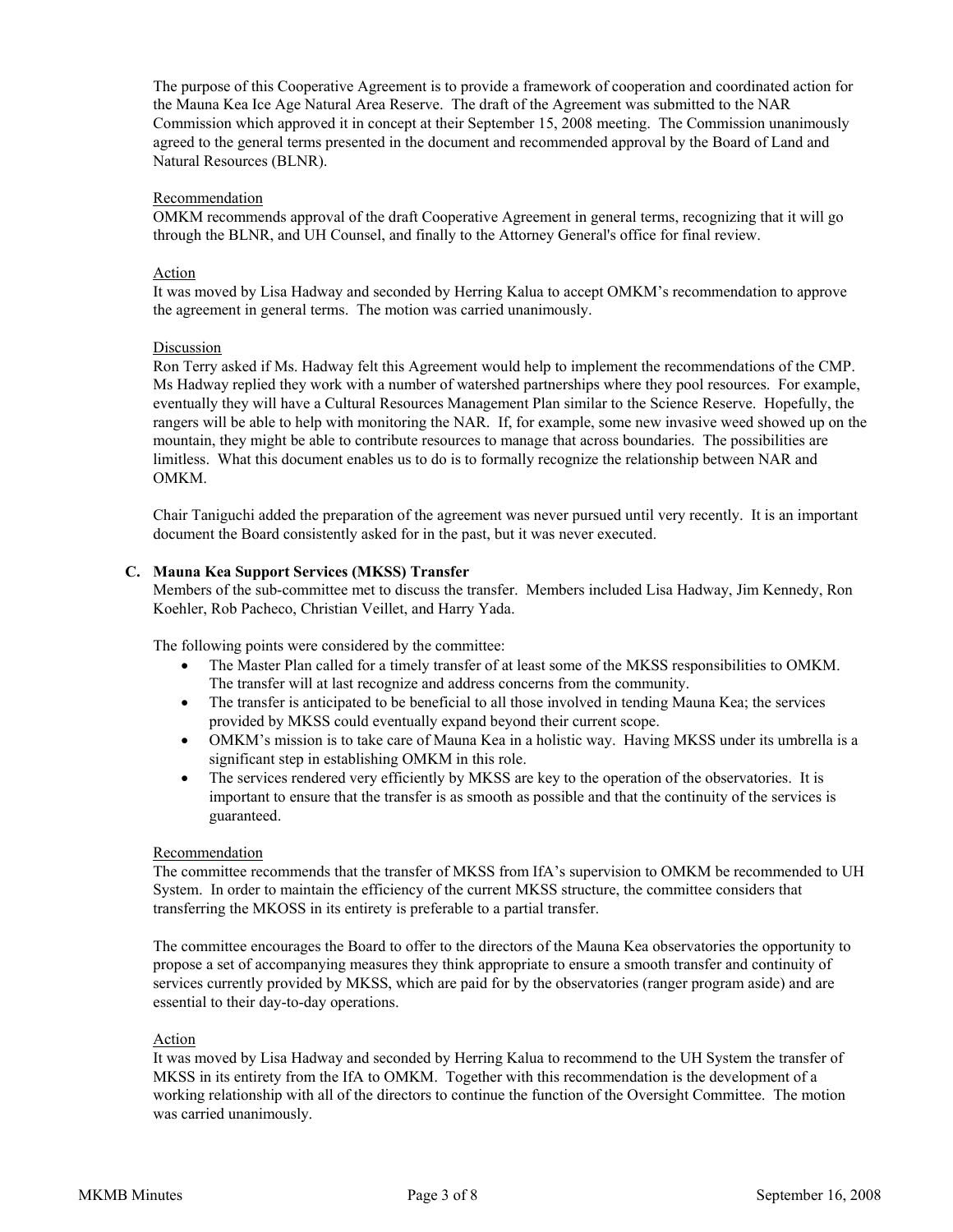The purpose of this Cooperative Agreement is to provide a framework of cooperation and coordinated action for the Mauna Kea Ice Age Natural Area Reserve. The draft of the Agreement was submitted to the NAR Commission which approved it in concept at their September 15, 2008 meeting. The Commission unanimously agreed to the general terms presented in the document and recommended approval by the Board of Land and Natural Resources (BLNR).

## Recommendation

OMKM recommends approval of the draft Cooperative Agreement in general terms, recognizing that it will go through the BLNR, and UH Counsel, and finally to the Attorney General's office for final review.

## Action

It was moved by Lisa Hadway and seconded by Herring Kalua to accept OMKM's recommendation to approve the agreement in general terms. The motion was carried unanimously.

#### Discussion

Ron Terry asked if Ms. Hadway felt this Agreement would help to implement the recommendations of the CMP. Ms Hadway replied they work with a number of watershed partnerships where they pool resources. For example, eventually they will have a Cultural Resources Management Plan similar to the Science Reserve. Hopefully, the rangers will be able to help with monitoring the NAR. If, for example, some new invasive weed showed up on the mountain, they might be able to contribute resources to manage that across boundaries. The possibilities are limitless. What this document enables us to do is to formally recognize the relationship between NAR and OMKM.

Chair Taniguchi added the preparation of the agreement was never pursued until very recently. It is an important document the Board consistently asked for in the past, but it was never executed.

#### **C. Mauna Kea Support Services (MKSS) Transfer**

Members of the sub-committee met to discuss the transfer. Members included Lisa Hadway, Jim Kennedy, Ron Koehler, Rob Pacheco, Christian Veillet, and Harry Yada.

The following points were considered by the committee:

- The Master Plan called for a timely transfer of at least some of the MKSS responsibilities to OMKM. The transfer will at last recognize and address concerns from the community.
- The transfer is anticipated to be beneficial to all those involved in tending Mauna Kea; the services provided by MKSS could eventually expand beyond their current scope.
- OMKM's mission is to take care of Mauna Kea in a holistic way. Having MKSS under its umbrella is a significant step in establishing OMKM in this role.
- The services rendered very efficiently by MKSS are key to the operation of the observatories. It is important to ensure that the transfer is as smooth as possible and that the continuity of the services is guaranteed.

#### Recommendation

The committee recommends that the transfer of MKSS from IfA's supervision to OMKM be recommended to UH System. In order to maintain the efficiency of the current MKSS structure, the committee considers that transferring the MKOSS in its entirety is preferable to a partial transfer.

The committee encourages the Board to offer to the directors of the Mauna Kea observatories the opportunity to propose a set of accompanying measures they think appropriate to ensure a smooth transfer and continuity of services currently provided by MKSS, which are paid for by the observatories (ranger program aside) and are essential to their day-to-day operations.

#### Action

It was moved by Lisa Hadway and seconded by Herring Kalua to recommend to the UH System the transfer of MKSS in its entirety from the IfA to OMKM. Together with this recommendation is the development of a working relationship with all of the directors to continue the function of the Oversight Committee. The motion was carried unanimously.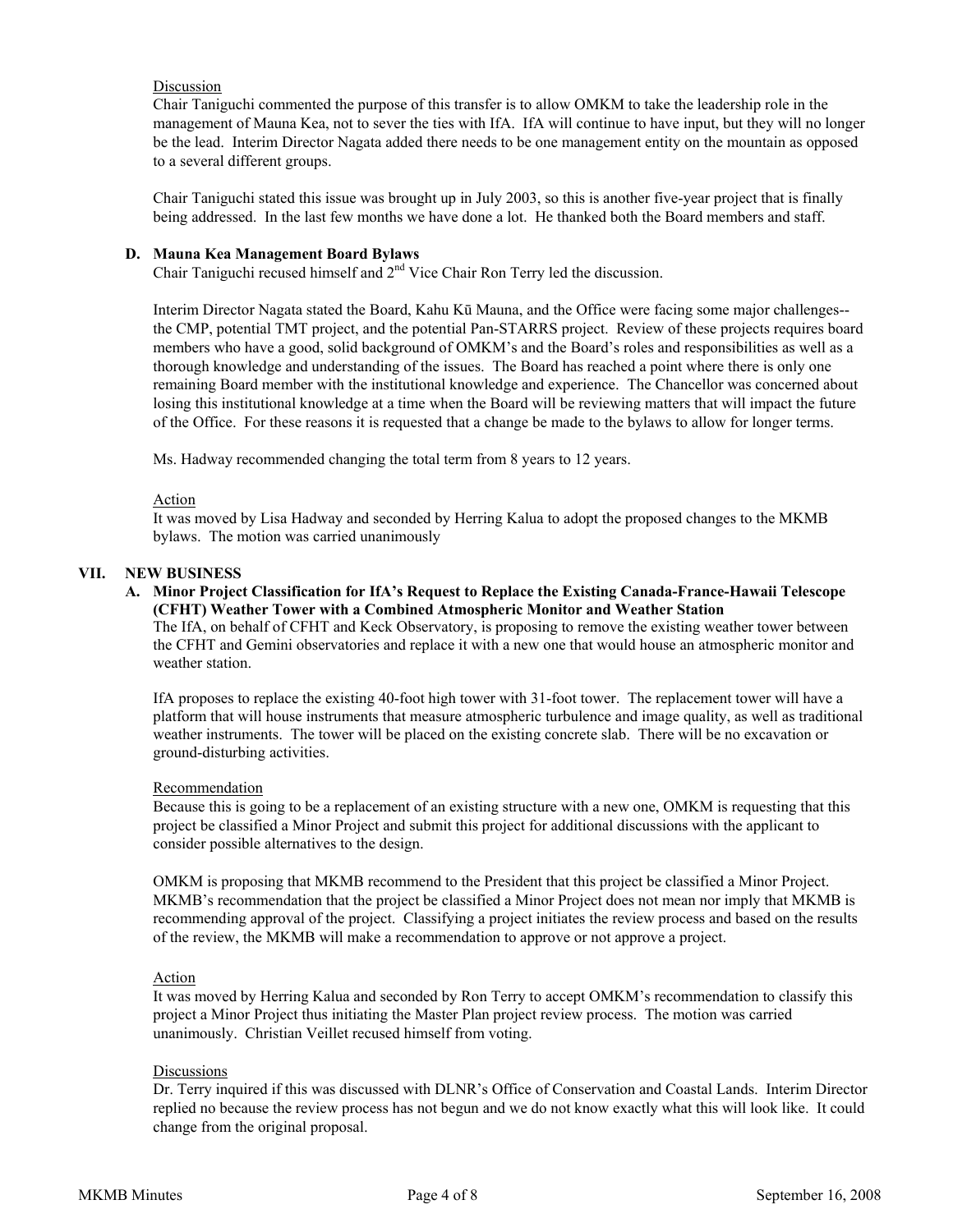## Discussion

Chair Taniguchi commented the purpose of this transfer is to allow OMKM to take the leadership role in the management of Mauna Kea, not to sever the ties with IfA. IfA will continue to have input, but they will no longer be the lead. Interim Director Nagata added there needs to be one management entity on the mountain as opposed to a several different groups.

Chair Taniguchi stated this issue was brought up in July 2003, so this is another five-year project that is finally being addressed. In the last few months we have done a lot. He thanked both the Board members and staff.

#### **D. Mauna Kea Management Board Bylaws**

Chair Taniguchi recused himself and 2nd Vice Chair Ron Terry led the discussion.

Interim Director Nagata stated the Board, Kahu Kū Mauna, and the Office were facing some major challenges- the CMP, potential TMT project, and the potential Pan-STARRS project. Review of these projects requires board members who have a good, solid background of OMKM's and the Board's roles and responsibilities as well as a thorough knowledge and understanding of the issues. The Board has reached a point where there is only one remaining Board member with the institutional knowledge and experience. The Chancellor was concerned about losing this institutional knowledge at a time when the Board will be reviewing matters that will impact the future of the Office. For these reasons it is requested that a change be made to the bylaws to allow for longer terms.

Ms. Hadway recommended changing the total term from 8 years to 12 years.

#### Action

It was moved by Lisa Hadway and seconded by Herring Kalua to adopt the proposed changes to the MKMB bylaws. The motion was carried unanimously

## **VII. NEW BUSINESS**

## **A. Minor Project Classification for IfA's Request to Replace the Existing Canada-France-Hawaii Telescope (CFHT) Weather Tower with a Combined Atmospheric Monitor and Weather Station**

The IfA, on behalf of CFHT and Keck Observatory, is proposing to remove the existing weather tower between the CFHT and Gemini observatories and replace it with a new one that would house an atmospheric monitor and weather station.

IfA proposes to replace the existing 40-foot high tower with 31-foot tower. The replacement tower will have a platform that will house instruments that measure atmospheric turbulence and image quality, as well as traditional weather instruments. The tower will be placed on the existing concrete slab. There will be no excavation or ground-disturbing activities.

#### **Recommendation**

Because this is going to be a replacement of an existing structure with a new one, OMKM is requesting that this project be classified a Minor Project and submit this project for additional discussions with the applicant to consider possible alternatives to the design.

OMKM is proposing that MKMB recommend to the President that this project be classified a Minor Project. MKMB's recommendation that the project be classified a Minor Project does not mean nor imply that MKMB is recommending approval of the project. Classifying a project initiates the review process and based on the results of the review, the MKMB will make a recommendation to approve or not approve a project.

#### Action

It was moved by Herring Kalua and seconded by Ron Terry to accept OMKM's recommendation to classify this project a Minor Project thus initiating the Master Plan project review process. The motion was carried unanimously. Christian Veillet recused himself from voting.

#### Discussions

Dr. Terry inquired if this was discussed with DLNR's Office of Conservation and Coastal Lands. Interim Director replied no because the review process has not begun and we do not know exactly what this will look like. It could change from the original proposal.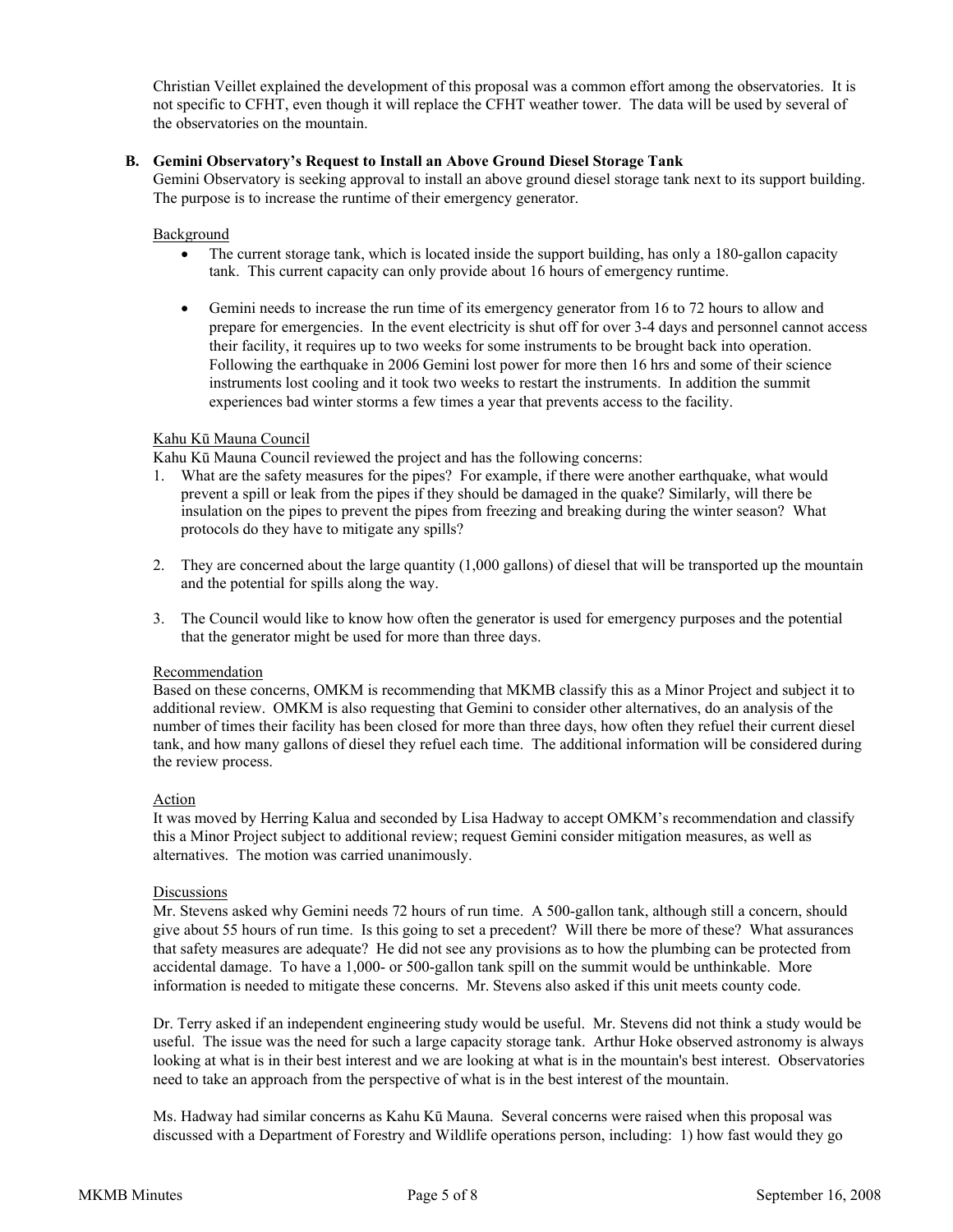Christian Veillet explained the development of this proposal was a common effort among the observatories. It is not specific to CFHT, even though it will replace the CFHT weather tower. The data will be used by several of the observatories on the mountain.

## **B. Gemini Observatory's Request to Install an Above Ground Diesel Storage Tank**

 Gemini Observatory is seeking approval to install an above ground diesel storage tank next to its support building. The purpose is to increase the runtime of their emergency generator.

#### Background

- The current storage tank, which is located inside the support building, has only a 180-gallon capacity tank. This current capacity can only provide about 16 hours of emergency runtime.
- Gemini needs to increase the run time of its emergency generator from 16 to 72 hours to allow and prepare for emergencies. In the event electricity is shut off for over 3-4 days and personnel cannot access their facility, it requires up to two weeks for some instruments to be brought back into operation. Following the earthquake in 2006 Gemini lost power for more then 16 hrs and some of their science instruments lost cooling and it took two weeks to restart the instruments. In addition the summit experiences bad winter storms a few times a year that prevents access to the facility.

#### Kahu Kū Mauna Council

Kahu Kū Mauna Council reviewed the project and has the following concerns:

- 1. What are the safety measures for the pipes? For example, if there were another earthquake, what would prevent a spill or leak from the pipes if they should be damaged in the quake? Similarly, will there be insulation on the pipes to prevent the pipes from freezing and breaking during the winter season? What protocols do they have to mitigate any spills?
- 2. They are concerned about the large quantity (1,000 gallons) of diesel that will be transported up the mountain and the potential for spills along the way.
- 3. The Council would like to know how often the generator is used for emergency purposes and the potential that the generator might be used for more than three days.

#### Recommendation

Based on these concerns, OMKM is recommending that MKMB classify this as a Minor Project and subject it to additional review. OMKM is also requesting that Gemini to consider other alternatives, do an analysis of the number of times their facility has been closed for more than three days, how often they refuel their current diesel tank, and how many gallons of diesel they refuel each time. The additional information will be considered during the review process.

## Action

 It was moved by Herring Kalua and seconded by Lisa Hadway to accept OMKM's recommendation and classify this a Minor Project subject to additional review; request Gemini consider mitigation measures, as well as alternatives. The motion was carried unanimously.

#### **Discussions**

Mr. Stevens asked why Gemini needs 72 hours of run time. A 500-gallon tank, although still a concern, should give about 55 hours of run time. Is this going to set a precedent? Will there be more of these? What assurances that safety measures are adequate? He did not see any provisions as to how the plumbing can be protected from accidental damage. To have a 1,000- or 500-gallon tank spill on the summit would be unthinkable. More information is needed to mitigate these concerns. Mr. Stevens also asked if this unit meets county code.

Dr. Terry asked if an independent engineering study would be useful. Mr. Stevens did not think a study would be useful. The issue was the need for such a large capacity storage tank. Arthur Hoke observed astronomy is always looking at what is in their best interest and we are looking at what is in the mountain's best interest. Observatories need to take an approach from the perspective of what is in the best interest of the mountain.

Ms. Hadway had similar concerns as Kahu Kū Mauna. Several concerns were raised when this proposal was discussed with a Department of Forestry and Wildlife operations person, including: 1) how fast would they go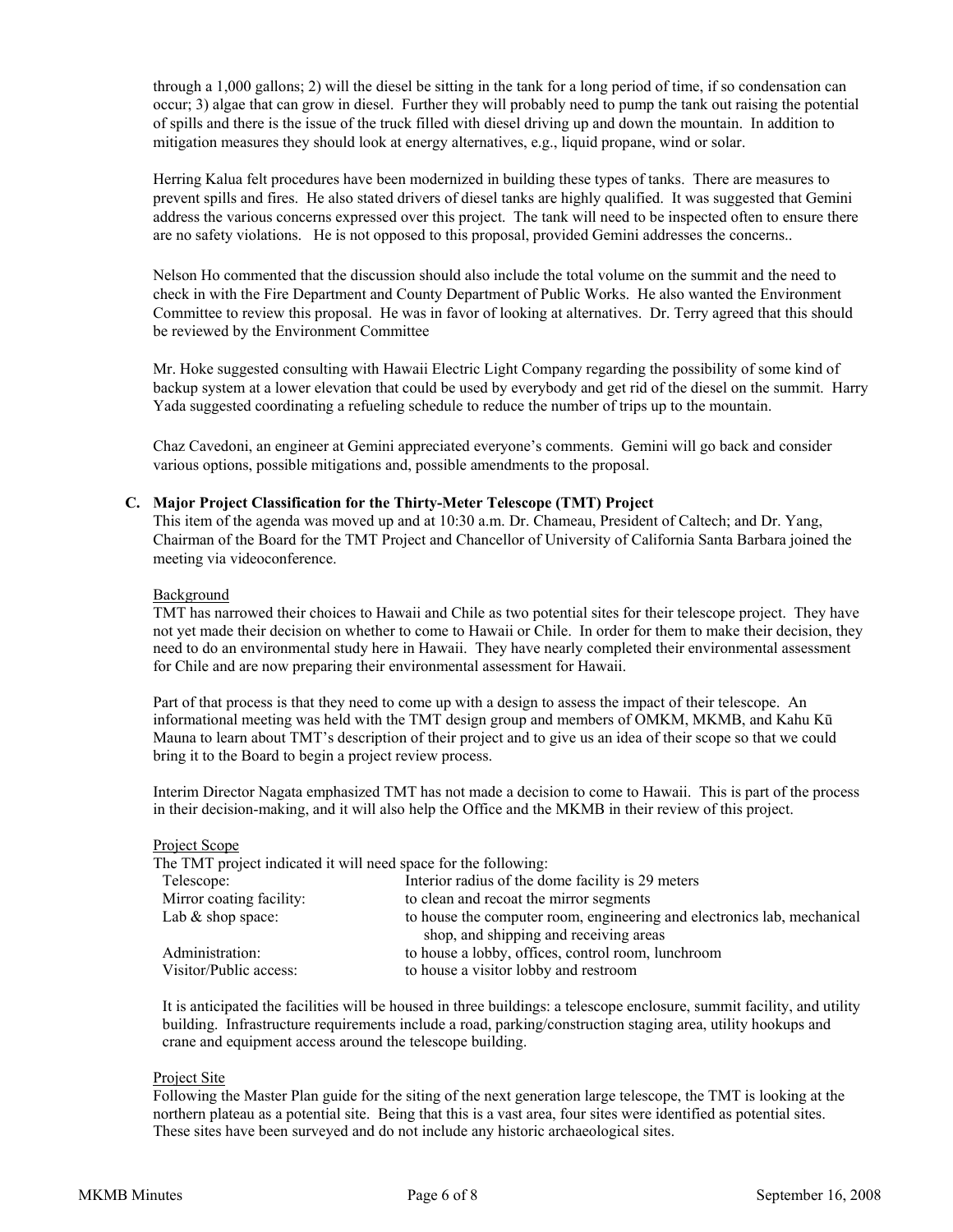through a 1,000 gallons; 2) will the diesel be sitting in the tank for a long period of time, if so condensation can occur; 3) algae that can grow in diesel. Further they will probably need to pump the tank out raising the potential of spills and there is the issue of the truck filled with diesel driving up and down the mountain. In addition to mitigation measures they should look at energy alternatives, e.g., liquid propane, wind or solar.

Herring Kalua felt procedures have been modernized in building these types of tanks. There are measures to prevent spills and fires. He also stated drivers of diesel tanks are highly qualified. It was suggested that Gemini address the various concerns expressed over this project. The tank will need to be inspected often to ensure there are no safety violations. He is not opposed to this proposal, provided Gemini addresses the concerns..

Nelson Ho commented that the discussion should also include the total volume on the summit and the need to check in with the Fire Department and County Department of Public Works. He also wanted the Environment Committee to review this proposal. He was in favor of looking at alternatives. Dr. Terry agreed that this should be reviewed by the Environment Committee

Mr. Hoke suggested consulting with Hawaii Electric Light Company regarding the possibility of some kind of backup system at a lower elevation that could be used by everybody and get rid of the diesel on the summit. Harry Yada suggested coordinating a refueling schedule to reduce the number of trips up to the mountain.

Chaz Cavedoni, an engineer at Gemini appreciated everyone's comments. Gemini will go back and consider various options, possible mitigations and, possible amendments to the proposal.

#### **C. Major Project Classification for the Thirty-Meter Telescope (TMT) Project**

This item of the agenda was moved up and at 10:30 a.m. Dr. Chameau, President of Caltech; and Dr. Yang, Chairman of the Board for the TMT Project and Chancellor of University of California Santa Barbara joined the meeting via videoconference.

#### Background

TMT has narrowed their choices to Hawaii and Chile as two potential sites for their telescope project. They have not yet made their decision on whether to come to Hawaii or Chile. In order for them to make their decision, they need to do an environmental study here in Hawaii. They have nearly completed their environmental assessment for Chile and are now preparing their environmental assessment for Hawaii.

Part of that process is that they need to come up with a design to assess the impact of their telescope. An informational meeting was held with the TMT design group and members of OMKM, MKMB, and Kahu Kū Mauna to learn about TMT's description of their project and to give us an idea of their scope so that we could bring it to the Board to begin a project review process.

Interim Director Nagata emphasized TMT has not made a decision to come to Hawaii. This is part of the process in their decision-making, and it will also help the Office and the MKMB in their review of this project.

#### Project Scope

The TMT project indicated it will need space for the following:

| The TIME project indicated it will need space for the following. |                                                                                                                   |  |
|------------------------------------------------------------------|-------------------------------------------------------------------------------------------------------------------|--|
| Telescope:                                                       | Interior radius of the dome facility is 29 meters                                                                 |  |
| Mirror coating facility:                                         | to clean and recoat the mirror segments                                                                           |  |
| Lab $&$ shop space:                                              | to house the computer room, engineering and electronics lab, mechanical<br>shop, and shipping and receiving areas |  |
| Administration:<br>Visitor/Public access:                        | to house a lobby, offices, control room, lunchroom                                                                |  |
|                                                                  | to house a visitor lobby and restroom                                                                             |  |

 It is anticipated the facilities will be housed in three buildings: a telescope enclosure, summit facility, and utility building. Infrastructure requirements include a road, parking/construction staging area, utility hookups and crane and equipment access around the telescope building.

#### Project Site

Following the Master Plan guide for the siting of the next generation large telescope, the TMT is looking at the northern plateau as a potential site. Being that this is a vast area, four sites were identified as potential sites. These sites have been surveyed and do not include any historic archaeological sites.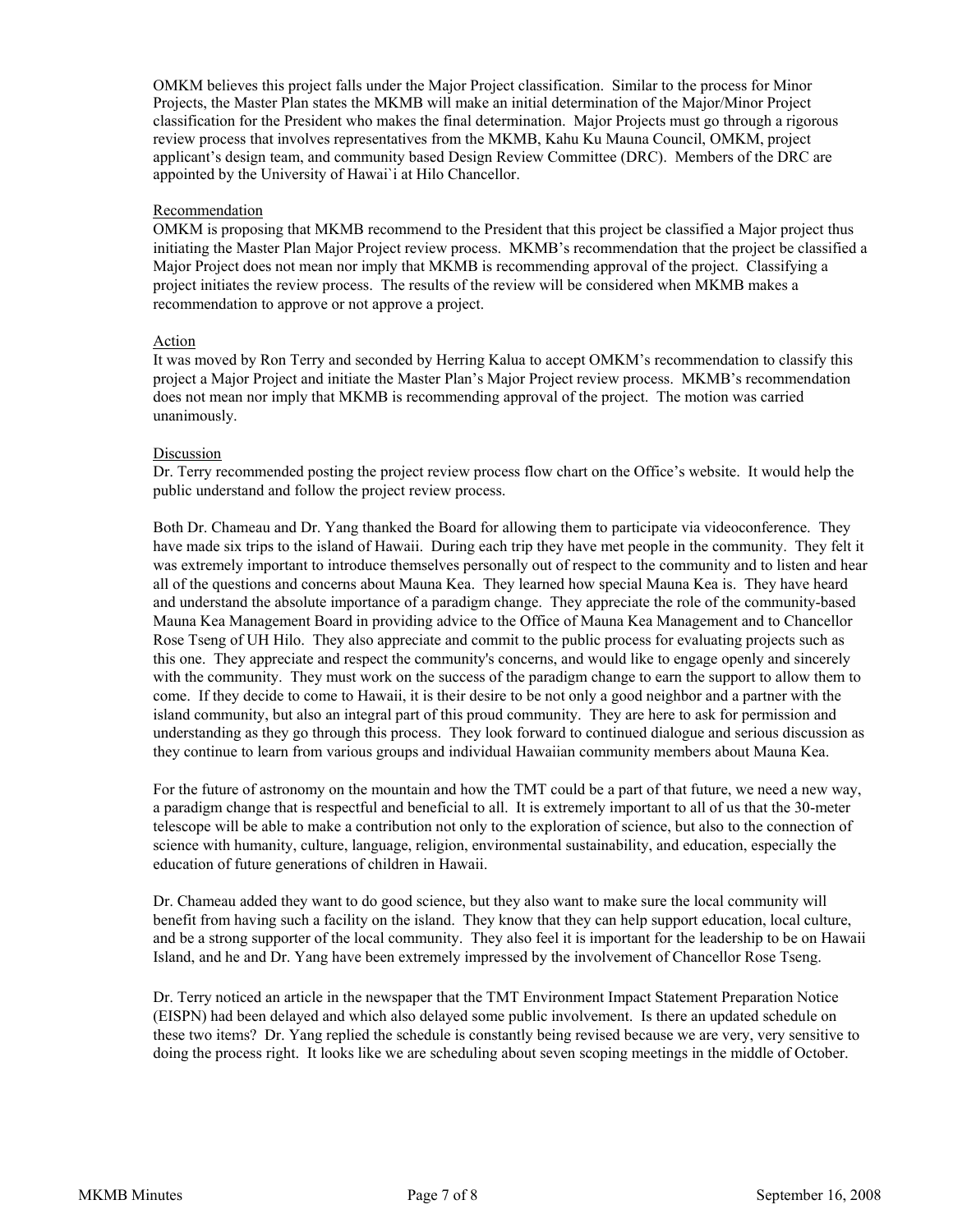OMKM believes this project falls under the Major Project classification. Similar to the process for Minor Projects, the Master Plan states the MKMB will make an initial determination of the Major/Minor Project classification for the President who makes the final determination. Major Projects must go through a rigorous review process that involves representatives from the MKMB, Kahu Ku Mauna Council, OMKM, project applicant's design team, and community based Design Review Committee (DRC). Members of the DRC are appointed by the University of Hawai`i at Hilo Chancellor.

## Recommendation

OMKM is proposing that MKMB recommend to the President that this project be classified a Major project thus initiating the Master Plan Major Project review process. MKMB's recommendation that the project be classified a Major Project does not mean nor imply that MKMB is recommending approval of the project. Classifying a project initiates the review process. The results of the review will be considered when MKMB makes a recommendation to approve or not approve a project.

#### Action

 It was moved by Ron Terry and seconded by Herring Kalua to accept OMKM's recommendation to classify this project a Major Project and initiate the Master Plan's Major Project review process. MKMB's recommendation does not mean nor imply that MKMB is recommending approval of the project. The motion was carried unanimously.

#### **Discussion**

 Dr. Terry recommended posting the project review process flow chart on the Office's website. It would help the public understand and follow the project review process.

Both Dr. Chameau and Dr. Yang thanked the Board for allowing them to participate via videoconference. They have made six trips to the island of Hawaii.During each trip they have met people in the community. They felt it was extremely important to introduce themselves personally out of respect to the community and to listen and hear all of the questions and concerns about Mauna Kea. They learned how special Mauna Kea is. They have heard and understand the absolute importance of a paradigm change. They appreciate the role of the community-based Mauna Kea Management Board in providing advice to the Office of Mauna Kea Management and to Chancellor Rose Tseng of UH Hilo. They also appreciate and commit to the public process for evaluating projects such as this one. They appreciate and respect the community's concerns, and would like to engage openly and sincerely with the community. They must work on the success of the paradigm change to earn the support to allow them to come. If they decide to come to Hawaii, it is their desire to be not only a good neighbor and a partner with the island community, but also an integral part of this proud community. They are here to ask for permission and understanding as they go through this process. They look forward to continued dialogue and serious discussion as they continue to learn from various groups and individual Hawaiian community members about Mauna Kea.

 For the future of astronomy on the mountain and how the TMT could be a part of that future, we need a new way, a paradigm change that is respectful and beneficial to all. It is extremely important to all of us that the 30-meter telescope will be able to make a contribution not only to the exploration of science, but also to the connection of science with humanity, culture, language, religion, environmental sustainability, and education, especially the education of future generations of children in Hawaii.

 Dr. Chameau added they want to do good science, but they also want to make sure the local community will benefit from having such a facility on the island. They know that they can help support education, local culture, and be a strong supporter of the local community. They also feel it is important for the leadership to be on Hawaii Island, and he and Dr. Yang have been extremely impressed by the involvement of Chancellor Rose Tseng.

Dr. Terry noticed an article in the newspaper that the TMT Environment Impact Statement Preparation Notice (EISPN) had been delayed and which also delayed some public involvement. Is there an updated schedule on these two items? Dr. Yang replied the schedule is constantly being revised because we are very, very sensitive to doing the process right. It looks like we are scheduling about seven scoping meetings in the middle of October.